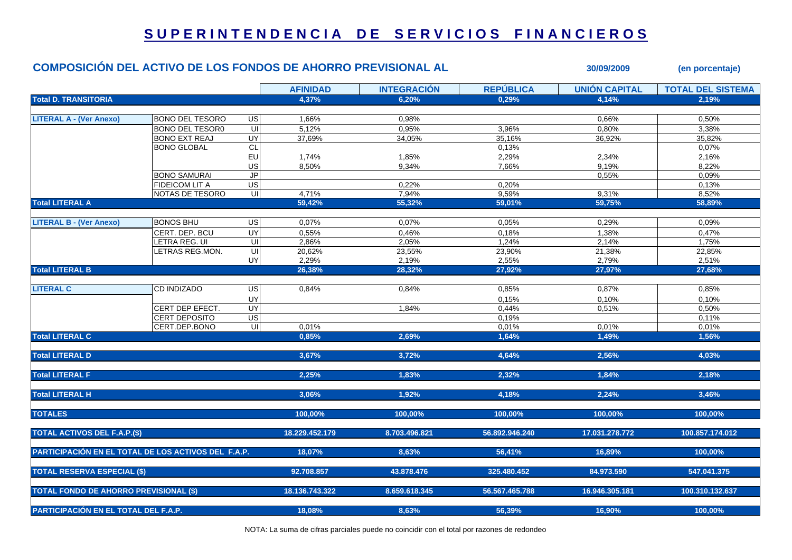## **S U P E R I N T E N D E N C I A D E S E R V I C I O S F I N A N C I E R O S**

## **COMPOSICIÓN DEL ACTIVO DE LOS FONDOS DE AHORRO PREVISIONAL AL 30/09/2009 (en porcentaje)**

|                                                     |                        |                         | <b>AFINIDAD</b> | <b>INTEGRACIÓN</b> | <b>REPÚBLICA</b> | <b>UNIÓN CAPITAL</b> | <b>TOTAL DEL SISTEMA</b> |
|-----------------------------------------------------|------------------------|-------------------------|-----------------|--------------------|------------------|----------------------|--------------------------|
| <b>Total D. TRANSITORIA</b>                         |                        |                         | 4,37%           | 6.20%              | 0.29%            | 4.14%                | 2.19%                    |
|                                                     |                        |                         |                 |                    |                  |                      |                          |
| <b>LITERAL A - (Ver Anexo)</b>                      | <b>BONO DEL TESORO</b> | US                      | 1,66%           | 0,98%              |                  | 0,66%                | 0,50%                    |
|                                                     | <b>BONO DEL TESOR0</b> | $\overline{\mathsf{u}}$ | 5,12%           | 0,95%              | 3.96%            | 0,80%                | 3,38%                    |
|                                                     | <b>BONO EXT REAJ</b>   | $\overline{\mathsf{C}}$ | 37,69%          | 34,05%             | 35,16%           | 36,92%               | 35,82%                   |
|                                                     | <b>BONO GLOBAL</b>     | <b>CL</b>               |                 |                    | 0,13%            |                      | 0,07%                    |
|                                                     |                        | EU                      | 1,74%           | 1,85%              | 2,29%            | 2,34%                | 2,16%                    |
|                                                     |                        | US                      | 8,50%           | 9,34%              | 7,66%            | 9,19%                | 8,22%                    |
|                                                     | <b>BONO SAMURAI</b>    | JP                      |                 |                    |                  | 0,55%                | 0,09%                    |
|                                                     | <b>FIDEICOM LIT A</b>  | $\overline{G}$          |                 | 0,22%              | 0,20%            |                      | 0,13%                    |
|                                                     | NOTAS DE TESORO        | UI                      | 4,71%           | 7,94%              | 9,59%            | 9,31%                | 8,52%                    |
| <b>Total LITERAL A</b>                              |                        |                         | 59.42%          | 55.32%             | 59.01%           | 59.75%               | 58.89%                   |
|                                                     |                        |                         |                 |                    |                  |                      |                          |
| <b>LITERAL B - (Ver Anexo)</b>                      | <b>BONOS BHU</b>       | US                      | 0,07%           | 0,07%              | 0,05%            | 0,29%                | 0,09%                    |
|                                                     | CERT. DEP. BCU         | UY                      | 0.55%           | 0.46%              | 0.18%            | 1,38%                | 0.47%                    |
|                                                     | LETRA REG. UI          | UI                      | 2,86%           | 2,05%              | 1,24%            | 2,14%                | 1,75%                    |
|                                                     | LETRAS REG.MON.        | UI                      | 20,62%          | 23,55%             | 23,90%           | 21,38%               | 22,85%                   |
|                                                     |                        | UY                      | 2,29%           | 2,19%              | 2,55%            | 2,79%                | 2,51%                    |
| <b>Total LITERAL B</b>                              |                        |                         | 26,38%          | 28,32%             | 27,92%           | 27,97%               | 27,68%                   |
|                                                     |                        |                         |                 |                    |                  |                      |                          |
| <b>LITERAL C</b>                                    | <b>CD INDIZADO</b>     | $\overline{G}$          | 0,84%           | 0,84%              | 0,85%            | 0,87%                | 0,85%                    |
|                                                     |                        | UY                      |                 |                    | 0.15%            | 0.10%                | 0.10%                    |
|                                                     | CERT DEP EFECT         | UY                      |                 | 1,84%              | 0,44%            | 0,51%                | 0,50%                    |
|                                                     | <b>CERT DEPOSITO</b>   | $\overline{G}$          |                 |                    | 0,19%            |                      | 0,11%                    |
|                                                     | CERT.DEP.BONO          | $\overline{u}$          | 0,01%           |                    | 0,01%            | 0,01%                | 0,01%                    |
| <b>Total LITERAL C</b>                              |                        |                         | 0.85%           | 2.69%              | 1,64%            | 1,49%                | 1,56%                    |
| <b>Total LITERAL D</b>                              |                        |                         | 3.67%           | 3,72%              | 4.64%            | 2.56%                | 4.03%                    |
| <b>Total LITERAL F</b>                              |                        |                         | 2,25%           | 1,83%              | 2,32%            | 1,84%                | 2,18%                    |
| <b>Total LITERAL H</b>                              |                        |                         | 3,06%           | 1,92%              | 4,18%            | 2.24%                | 3,46%                    |
| <b>TOTALES</b>                                      |                        |                         | 100,00%         | 100,00%            | 100,00%          | 100.00%              | 100.00%                  |
|                                                     |                        |                         |                 |                    |                  |                      |                          |
| <b>TOTAL ACTIVOS DEL F.A.P.(\$)</b>                 |                        |                         | 18.229.452.179  | 8.703.496.821      | 56.892.946.240   | 17.031.278.772       | 100.857.174.012          |
| PARTICIPACIÓN EN EL TOTAL DE LOS ACTIVOS DEL F.A.P. |                        |                         | 18,07%          | 8,63%              | 56,41%           | 16,89%               | 100,00%                  |
| <b>TOTAL RESERVA ESPECIAL (\$)</b>                  |                        |                         | 92.708.857      | 43.878.476         | 325.480.452      | 84.973.590           | 547.041.375              |
| <b>TOTAL FONDO DE AHORRO PREVISIONAL (\$)</b>       |                        |                         | 18.136.743.322  | 8.659.618.345      | 56.567.465.788   | 16.946.305.181       | 100.310.132.637          |
|                                                     |                        |                         |                 |                    |                  |                      |                          |
| PARTICIPACIÓN EN EL TOTAL DEL F.A.P.                |                        |                         | 18,08%          | 8,63%              | 56,39%           | 16,90%               | 100,00%                  |

NOTA: La suma de cifras parciales puede no coincidir con el total por razones de redondeo